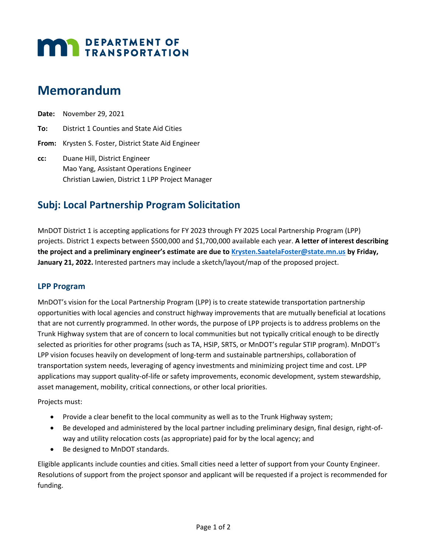# **MAN DEPARTMENT OF TRANSPORTATION**

## **Memorandum**

**Date:** November 29, 2021 **To:** District 1 Counties and State Aid Cities **From:** Krysten S. Foster, District State Aid Engineer **cc:** Duane Hill, District Engineer Mao Yang, Assistant Operations Engineer Christian Lawien, District 1 LPP Project Manager

### **Subj: Local Partnership Program Solicitation**

MnDOT District 1 is accepting applications for FY 2023 through FY 2025 Local Partnership Program (LPP) projects. District 1 expects between \$500,000 and \$1,700,000 available each year. **A letter of interest describing the project and a preliminary engineer's estimate are due t[o Krysten.SaatelaFoster@state.mn.us](mailto:Krysten.SaatelaFoster@state.mn.us) by Friday, January 21, 2022.** Interested partners may include a sketch/layout/map of the proposed project.

#### **LPP Program**

MnDOT's vision for the Local Partnership Program (LPP) is to create statewide transportation partnership opportunities with local agencies and construct highway improvements that are mutually beneficial at locations that are not currently programmed. In other words, the purpose of LPP projects is to address problems on the Trunk Highway system that are of concern to local communities but not typically critical enough to be directly selected as priorities for other programs (such as TA, HSIP, SRTS, or MnDOT's regular STIP program). MnDOT's LPP vision focuses heavily on development of long-term and sustainable partnerships, collaboration of transportation system needs, leveraging of agency investments and minimizing project time and cost. LPP applications may support quality-of-life or safety improvements, economic development, system stewardship, asset management, mobility, critical connections, or other local priorities.

#### Projects must:

- Provide a clear benefit to the local community as well as to the Trunk Highway system;
- Be developed and administered by the local partner including preliminary design, final design, right-ofway and utility relocation costs (as appropriate) paid for by the local agency; and
- Be designed to MnDOT standards.

Eligible applicants include counties and cities. Small cities need a letter of support from your County Engineer. Resolutions of support from the project sponsor and applicant will be requested if a project is recommended for funding.